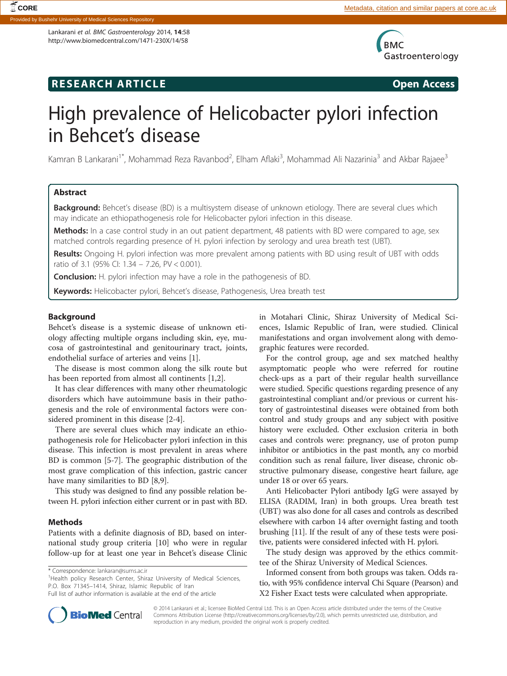

**BMC** Gastroenterology

# **RESEARCH ARTICLE Example 2014 CONSIDERING CONSIDERING CONSIDERING CONSIDERING CONSIDERING CONSIDERING CONSIDERING CONSIDERING CONSIDERING CONSIDERING CONSIDERING CONSIDERING CONSIDERING CONSIDERING CONSIDERING CONSIDE**

Lankarani et al. BMC Gastroenterology 2014, <sup>14</sup>:58 http://www.biomedcentral.com/1471-230X/14/58



# High prevalence of Helicobacter pylori infection in Behcet's disease

Kamran B Lankarani<sup>1\*</sup>, Mohammad Reza Ravanbod<sup>2</sup>, Elham Aflaki<sup>3</sup>, Mohammad Ali Nazarinia<sup>3</sup> and Akbar Rajaee<sup>3</sup>

# Abstract

Background: Behcet's disease (BD) is a multisystem disease of unknown etiology. There are several clues which may indicate an ethiopathogenesis role for Helicobacter pylori infection in this disease.

Methods: In a case control study in an out patient department, 48 patients with BD were compared to age, sex matched controls regarding presence of H. pylori infection by serology and urea breath test (UBT).

Results: Ongoing H. pylori infection was more prevalent among patients with BD using result of UBT with odds ratio of 3.1 (95% CI: 1.34 – 7.26, PV < 0.001).

Conclusion: H. pylori infection may have a role in the pathogenesis of BD.

Keywords: Helicobacter pylori, Behcet's disease, Pathogenesis, Urea breath test

# Background

Behcet's disease is a systemic disease of unknown etiology affecting multiple organs including skin, eye, mucosa of gastrointestinal and genitourinary tract, joints, endothelial surface of arteries and veins [\[1](#page-2-0)].

The disease is most common along the silk route but has been reported from almost all continents [[1,2\]](#page-2-0).

It has clear differences with many other rheumatologic disorders which have autoimmune basis in their pathogenesis and the role of environmental factors were considered prominent in this disease [\[2](#page-2-0)-[4\]](#page-2-0).

There are several clues which may indicate an ethiopathogenesis role for Helicobacter pylori infection in this disease. This infection is most prevalent in areas where BD is common [[5-7](#page-2-0)]. The geographic distribution of the most grave complication of this infection, gastric cancer have many similarities to BD [[8,9\]](#page-2-0).

This study was designed to find any possible relation between H. pylori infection either current or in past with BD.

# Methods

Patients with a definite diagnosis of BD, based on international study group criteria [[10\]](#page-2-0) who were in regular follow-up for at least one year in Behcet's disease Clinic

\* Correspondence: [lankaran@sums.ac.ir](mailto:lankaran@sums.ac.ir) <sup>1</sup>

<sup>1</sup>Health policy Research Center, Shiraz University of Medical Sciences, P.O. Box 71345–1414, Shiraz, Islamic Republic of Iran Full list of author information is available at the end of the article

in Motahari Clinic, Shiraz University of Medical Sciences, Islamic Republic of Iran, were studied. Clinical manifestations and organ involvement along with demographic features were recorded.

For the control group, age and sex matched healthy asymptomatic people who were referred for routine check-ups as a part of their regular health surveillance were studied. Specific questions regarding presence of any gastrointestinal compliant and/or previous or current history of gastrointestinal diseases were obtained from both control and study groups and any subject with positive history were excluded. Other exclusion criteria in both cases and controls were: pregnancy, use of proton pump inhibitor or antibiotics in the past month, any co morbid condition such as renal failure, liver disease, chronic obstructive pulmonary disease, congestive heart failure, age under 18 or over 65 years.

Anti Helicobacter Pylori antibody IgG were assayed by ELISA (RADIM, Iran) in both groups. Urea breath test (UBT) was also done for all cases and controls as described elsewhere with carbon 14 after overnight fasting and tooth brushing [[11](#page-2-0)]. If the result of any of these tests were positive, patients were considered infected with H. pylori.

The study design was approved by the ethics committee of the Shiraz University of Medical Sciences.

Informed consent from both groups was taken. Odds ratio, with 95% confidence interval Chi Square (Pearson) and X2 Fisher Exact tests were calculated when appropriate.



© 2014 Lankarani et al.; licensee BioMed Central Ltd. This is an Open Access article distributed under the terms of the Creative Commons Attribution License [\(http://creativecommons.org/licenses/by/2.0\)](http://creativecommons.org/licenses/by/2.0), which permits unrestricted use, distribution, and reproduction in any medium, provided the original work is properly credited.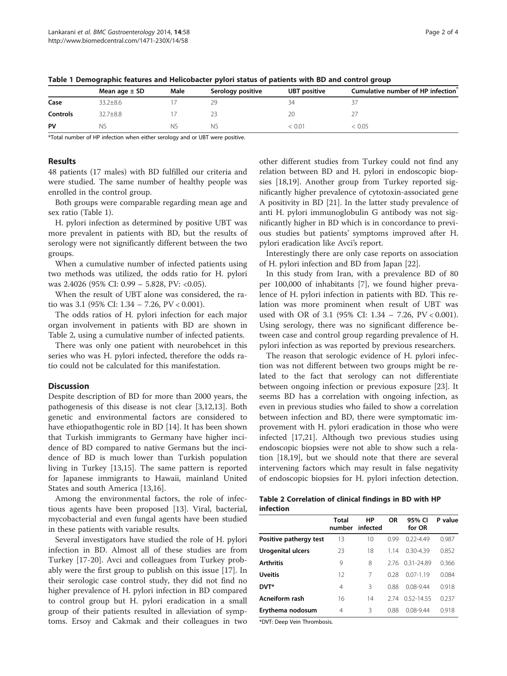| TANIA I DAINUMINDINA ISAAMIND MIIM ITSIISONASSA PYTOIT DAASAD OI PASISIISD IIISII DD MIIM SOIISIOI MUUMP |                   |      |                   |                     |                                                |  |  |  |
|----------------------------------------------------------------------------------------------------------|-------------------|------|-------------------|---------------------|------------------------------------------------|--|--|--|
|                                                                                                          | Mean age $\pm$ SD | Male | Serology positive | <b>UBT</b> positive | Cumulative number of HP infection <sup>®</sup> |  |  |  |
| Case                                                                                                     | $33.2 \pm 8.6$    |      | 29                | 34                  |                                                |  |  |  |
| Controls                                                                                                 | $32.7 + 8.8$      |      |                   | 20                  |                                                |  |  |  |
| PV                                                                                                       | ΝS                | ΝS   | ΝS                | < 0.01              | : 0.05                                         |  |  |  |

Table 1 Demographic features and Helicobacter pylori status of patients with BD and control group

\*Total number of HP infection when either serology and or UBT were positive.

# Results

48 patients (17 males) with BD fulfilled our criteria and were studied. The same number of healthy people was enrolled in the control group.

Both groups were comparable regarding mean age and sex ratio (Table 1).

H. pylori infection as determined by positive UBT was more prevalent in patients with BD, but the results of serology were not significantly different between the two groups.

When a cumulative number of infected patients using two methods was utilized, the odds ratio for H. pylori was 2.4026 (95% CI: 0.99 – 5.828, PV: <0.05).

When the result of UBT alone was considered, the ratio was 3.1 (95% CI:  $1.34 - 7.26$ , PV < 0.001).

The odds ratios of H. pylori infection for each major organ involvement in patients with BD are shown in Table 2, using a cumulative number of infected patients.

There was only one patient with neurobehcet in this series who was H. pylori infected, therefore the odds ratio could not be calculated for this manifestation.

# Discussion

Despite description of BD for more than 2000 years, the pathogenesis of this disease is not clear [[3,12,13\]](#page-2-0). Both genetic and environmental factors are considered to have ethiopathogentic role in BD [[14\]](#page-2-0). It has been shown that Turkish immigrants to Germany have higher incidence of BD compared to native Germans but the incidence of BD is much lower than Turkish population living in Turkey [\[13,15\]](#page-2-0). The same pattern is reported for Japanese immigrants to Hawaii, mainland United States and south America [[13,16\]](#page-2-0).

Among the environmental factors, the role of infectious agents have been proposed [\[13](#page-2-0)]. Viral, bacterial, mycobacterial and even fungal agents have been studied in these patients with variable results.

Several investigators have studied the role of H. pylori infection in BD. Almost all of these studies are from Turkey [[17](#page-2-0)[-20](#page-3-0)]. Avci and colleagues from Turkey probably were the first group to publish on this issue [[17](#page-2-0)]. In their serologic case control study, they did not find no higher prevalence of H. pylori infection in BD compared to control group but H. pylori eradication in a small group of their patients resulted in alleviation of symptoms. Ersoy and Cakmak and their colleagues in two other different studies from Turkey could not find any relation between BD and H. pylori in endoscopic biopsies [\[18,19\]](#page-2-0). Another group from Turkey reported significantly higher prevalence of cytotoxin-associated gene A positivity in BD [[21](#page-3-0)]. In the latter study prevalence of anti H. pylori immunoglobulin G antibody was not significantly higher in BD which is in concordance to previous studies but patients' symptoms improved after H. pylori eradication like Avci's report.

Interestingly there are only case reports on association of H. pylori infection and BD from Japan [[22\]](#page-3-0).

In this study from Iran, with a prevalence BD of 80 per 100,000 of inhabitants [[7\]](#page-2-0), we found higher prevalence of H. pylori infection in patients with BD. This relation was more prominent when result of UBT was used with OR of 3.1 (95% CI: 1.34 – 7.26, PV < 0.001). Using serology, there was no significant difference between case and control group regarding prevalence of H. pylori infection as was reported by previous researchers.

The reason that serologic evidence of H. pylori infection was not different between two groups might be related to the fact that serology can not differentiate between ongoing infection or previous exposure [\[23](#page-3-0)]. It seems BD has a correlation with ongoing infection, as even in previous studies who failed to show a correlation between infection and BD, there were symptomatic improvement with H. pylori eradication in those who were infected [[17,](#page-2-0)[21\]](#page-3-0). Although two previous studies using endoscopic biopsies were not able to show such a relation [[18](#page-2-0),[19](#page-2-0)], but we should note that there are several intervening factors which may result in false negativity of endoscopic biopsies for H. pylori infection detection.

| Table 2 Correlation of clinical findings in BD with HP |  |  |  |  |
|--------------------------------------------------------|--|--|--|--|
| infection                                              |  |  |  |  |

|                          | Total<br>number | HP<br>infected | ΩR    | 95% CI<br>for OR | P value |
|--------------------------|-----------------|----------------|-------|------------------|---------|
| Positive pathergy test   | 13              | 10             | O 99  | $022 - 449$      | 0.987   |
| <b>Urogenital ulcers</b> | 23              | 18             | 1 1 4 | $0.30 - 4.39$    | 0.852   |
| <b>Arthritis</b>         | 9               | 8              | 276   | 031-2489         | 0.366   |
| <b>Uveitis</b>           | 12              | 7              | 0.28  | $0.07 - 1.19$    | 0.084   |
| DVT*                     | 4               | 3              | 0.88  | $0.08 - 9.44$    | 0.918   |
| Acneiform rash           | 16              | 14             | 274   | $052 - 1455$     | 0.237   |
| Erythema nodosum         | 4               | 3              | 0.88  | $0.08 - 9.44$    | 0918    |

\*DVT: Deep Vein Thrombosis.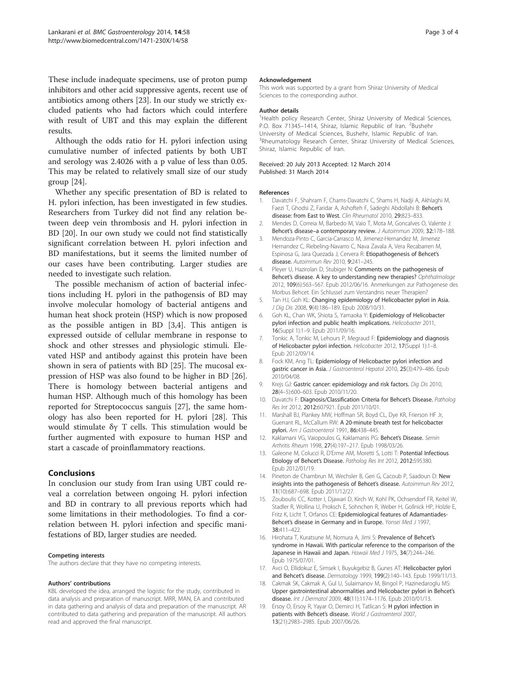<span id="page-2-0"></span>These include inadequate specimens, use of proton pump inhibitors and other acid suppressive agents, recent use of antibiotics among others [[23](#page-3-0)]. In our study we strictly excluded patients who had factors which could interfere with result of UBT and this may explain the different results.

Although the odds ratio for H. pylori infection using cumulative number of infected patients by both UBT and serology was 2.4026 with a p value of less than 0.05. This may be related to relatively small size of our study group [[24\]](#page-3-0).

Whether any specific presentation of BD is related to H. pylori infection, has been investigated in few studies. Researchers from Turkey did not find any relation between deep vein thrombosis and H. pylori infection in BD [\[20\]](#page-3-0). In our own study we could not find statistically significant correlation between H. pylori infection and BD manifestations, but it seems the limited number of our cases have been contributing. Larger studies are needed to investigate such relation.

The possible mechanism of action of bacterial infections including H. pylori in the pathogensis of BD may involve molecular homology of bacterial antigens and human heat shock protein (HSP) which is now proposed as the possible antigen in BD [3,4]. This antigen is expressed outside of cellular membrane in response to shock and other stresses and physiologic stimuli. Elevated HSP and antibody against this protein have been shown in sera of patients with BD [\[25](#page-3-0)]. The mucosal expression of HSP was also found to be higher in BD [\[26](#page-3-0)]. There is homology between bacterial antigens and human HSP. Although much of this homology has been reported for Streptococcus sanguis [\[27](#page-3-0)], the same homology has also been reported for H. pylori [\[28\]](#page-3-0). This would stimulate δγ T cells. This stimulation would be further augmented with exposure to human HSP and start a cascade of proinflammatory reactions.

# Conclusions

In conclusion our study from Iran using UBT could reveal a correlation between ongoing H. pylori infection and BD in contrary to all previous reports which had some limitations in their methodologies. To find a correlation between H. pylori infection and specific manifestations of BD, larger studies are needed.

#### Competing interests

The authors declare that they have no competing interests.

# Authors' contributions

KBL developed the idea, arranged the logistic for the study, contributed in data analysis and preparation of manuscript. MRR, MAN, EA and contributed in data gathering and analysis of data and preparation of the manuscript. AR contributed to data gathering and preparation of the manuscript. All authors read and approved the final manuscript.

#### Acknowledgement

This work was supported by a grant from Shiraz University of Medical Sciences to the corresponding author.

#### Author details

<sup>1</sup>Health policy Research Center, Shiraz University of Medical Sciences, P.O. Box 71345-1414, Shiraz, Islamic Republic of Iran. <sup>2</sup>Bushehr University of Medical Sciences, Bushehr, Islamic Republic of Iran. <sup>3</sup>Rheumatology Research Center, Shiraz University of Medical Sciences, Shiraz, Islamic Republic of Iran.

#### Received: 20 July 2013 Accepted: 12 March 2014 Published: 31 March 2014

#### References

- 1. Davatchi F, Shahram F, Chams-Davatchi C, Shams H, Nadji A, Akhlaghi M, Faezi T, Ghodsi Z, Faridar A, Ashofteh F, Sadeghi Abdollahi B: Behcet's disease: from East to West. Clin Rheumatol 2010, 29:823-833.
- 2. Mendes D, Correia M, Barbedo M, Vaio T, Mota M, Goncalves O, Valente J: Behcet's disease–a contemporary review. J Autoimmun 2009, 32:178–188.
- 3. Mendoza-Pinto C, Garcia-Carrasco M, Jimenez-Hernandez M, Jimenez Hernandez C, Riebeling-Navarro C, Nava Zavala A, Vera Recabarren M, Espinosa G, Jara Quezada J, Cervera R: Etiopathogenesis of Behcet's disease. Autoimmun Rev 2010, 9:241–245.
- 4. Pleyer U, Hazirolan D, Stubiger N: Comments on the pathogenesis of Behcet's disease. A key to understanding new therapies? Ophthalmologe 2012, 109(6):563–567. Epub 2012/06/16. Anmerkungen zur Pathogenese des Morbus Behcet. Ein Schlussel zum Verstandnis neuer Therapien?
- 5. Tan HJ, Goh KL: Changing epidemiology of Helicobacter pylori in Asia. J Dig Dis 2008, 9(4):186–189. Epub 2008/10/31.
- 6. Goh KL, Chan WK, Shiota S, Yamaoka Y: Epidemiology of Helicobacter pylori infection and public health implications. Helicobacter 2011, 16(Suppl 1):1–9. Epub 2011/09/16.
- 7. Tonkic A, Tonkic M, Lehours P, Megraud F: Epidemiology and diagnosis of Helicobacter pylori infection. Helicobacter 2012, 17(Suppl 1):1-8. Epub 2012/09/14.
- 8. Fock KM, Ang TL: Epidemiology of Helicobacter pylori infection and gastric cancer in Asia. J Gastroenterol Hepatol 2010, 25(3):479-486. Epub 2010/04/08.
- 9. Krejs GJ: Gastric cancer: epidemiology and risk factors. Dig Dis 2010, 28(4–5):600–603. Epub 2010/11/20.
- 10. Davatchi F: Diagnosis/Classification Criteria for Behcet's Disease. Patholog Res Int 2012, 2012:607921. Epub 2011/10/01.
- 11. Marshall BJ, Plankey MW, Hoffman SR, Boyd CL, Dye KR, Frierson HF Jr, Guerrant RL, McCallum RW: A 20-minute breath test for helicobacter pylori. Am J Gastroenterol 1991, 86:438–445.
- 12. Kaklamani VG, Vaiopoulos G, Kaklamanis PG: Behcet's Disease. Semin Arthritis Rheum 1998, 27(4):197–217. Epub 1998/03/26.
- 13. Galeone M, Colucci R, D'Erme AM, Moretti S, Lotti T: Potential Infectious Etiology of Behcet's Disease. Patholog Res Int 2012, 2012:595380. Epub 2012/01/19.
- 14. Pineton de Chambrun M, Wechsler B, Geri G, Cacoub P, Saadoun D: New insights into the pathogenesis of Behcet's disease. Autoimmun Rev 2012, 11(10):687–698. Epub 2011/12/27.
- 15. Zouboulis CC, Kotter I, Djawari D, Kirch W, Kohl PK, Ochsendorf FR, Keitel W, Stadler R, Wollina U, Proksch E, Sohnchen R, Weber H, Gollnick HP, Holzle E, Fritz K, Licht T, Orfanos CE: Epidemiological features of Adamantiades-Behcet's disease in Germany and in Europe. Yonsei Med J 1997, 38:411–422.
- 16. Hirohata T, Kuratsune M, Nomura A, Jimi S: Prevalence of Behcet's syndrome in Hawaii. With particular reference to the comparison of the Japanese in Hawaii and Japan. Hawaii Med J 1975, 34(7):244-246. Epub 1975/07/01.
- 17. Avci O, Ellidokuz E, Simsek I, Buyukgebiz B, Gunes AT: Helicobacter pylori and Behcet's disease. Dermatology 1999, 199(2):140-143. Epub 1999/11/13.
- 18. Cakmak SK, Cakmak A, Gul U, Sulaimanov M, Bingol P, Hazinedaroglu MS: Upper gastrointestinal abnormalities and Helicobacter pylori in Behcet's disease. Int J Dermatol 2009, 48(11):1174–1176. Epub 2010/01/13.
- 19. Ersoy O, Ersoy R, Yayar O, Demirci H, Tatlican S: H pylori infection in patients with Behcet's disease. World J Gastroenterol 2007, 13(21):2983–2985. Epub 2007/06/26.